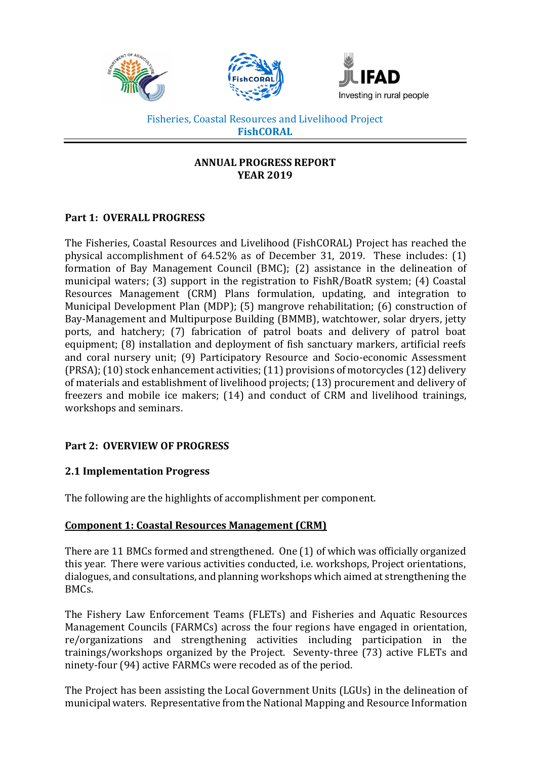

### **ANNUAL PROGRESS REPORT YEAR 2019**

## **Part 1: OVERALL PROGRESS**

The Fisheries, Coastal Resources and Livelihood (FishCORAL) Project has reached the physical accomplishment of 64.52% as of December 31, 2019. These includes: (1) formation of Bay Management Council (BMC); (2) assistance in the delineation of municipal waters; (3) support in the registration to FishR/BoatR system; (4) Coastal Resources Management (CRM) Plans formulation, updating, and integration to Municipal Development Plan (MDP); (5) mangrove rehabilitation; (6) construction of Bay-Management and Multipurpose Building (BMMB), watchtower, solar dryers, jetty ports, and hatchery; (7) fabrication of patrol boats and delivery of patrol boat equipment; (8) installation and deployment of fish sanctuary markers, artificial reefs and coral nursery unit; (9) Participatory Resource and Socio-economic Assessment (PRSA); (10) stock enhancement activities; (11) provisions of motorcycles (12) delivery of materials and establishment of livelihood projects; (13) procurement and delivery of freezers and mobile ice makers; (14) and conduct of CRM and livelihood trainings, workshops and seminars.

# **Part 2: OVERVIEW OF PROGRESS**

## **2.1 Implementation Progress**

The following are the highlights of accomplishment per component.

## **Component 1: Coastal Resources Management (CRM)**

There are 11 BMCs formed and strengthened. One (1) of which was officially organized this year. There were various activities conducted, i.e. workshops, Project orientations, dialogues, and consultations, and planning workshops which aimed at strengthening the BMCs.

The Fishery Law Enforcement Teams (FLETs) and Fisheries and Aquatic Resources Management Councils (FARMCs) across the four regions have engaged in orientation, re/organizations and strengthening activities including participation in the trainings/workshops organized by the Project. Seventy-three (73) active FLETs and ninety-four (94) active FARMCs were recoded as of the period.

The Project has been assisting the Local Government Units (LGUs) in the delineation of municipal waters. Representative from the National Mapping and Resource Information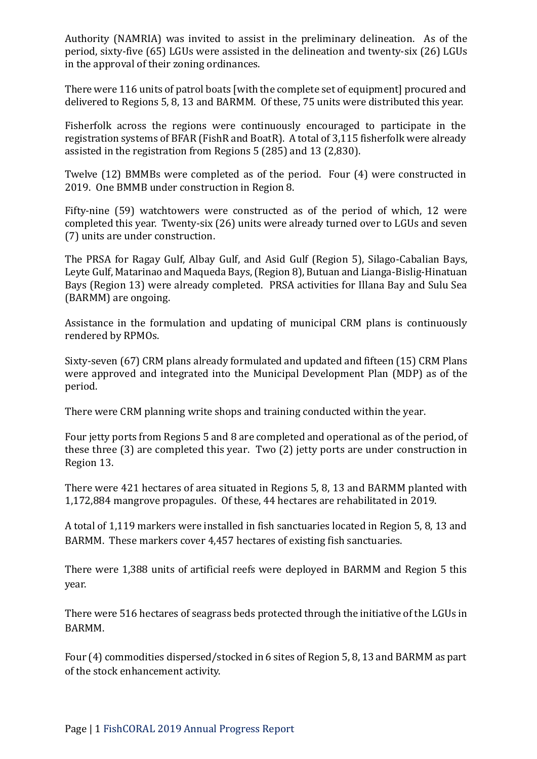Authority (NAMRIA) was invited to assist in the preliminary delineation. As of the period, sixty-five (65) LGUs were assisted in the delineation and twenty-six (26) LGUs in the approval of their zoning ordinances.

There were 116 units of patrol boats [with the complete set of equipment] procured and delivered to Regions 5, 8, 13 and BARMM. Of these, 75 units were distributed this year.

Fisherfolk across the regions were continuously encouraged to participate in the registration systems of BFAR (FishR and BoatR). A total of 3,115 fisherfolk were already assisted in the registration from Regions 5 (285) and 13 (2,830).

Twelve (12) BMMBs were completed as of the period. Four (4) were constructed in 2019. One BMMB under construction in Region 8.

Fifty-nine (59) watchtowers were constructed as of the period of which, 12 were completed this year. Twenty-six (26) units were already turned over to LGUs and seven (7) units are under construction.

The PRSA for Ragay Gulf, Albay Gulf, and Asid Gulf (Region 5), Silago-Cabalian Bays, Leyte Gulf, Matarinao and Maqueda Bays, (Region 8), Butuan and Lianga-Bislig-Hinatuan Bays (Region 13) were already completed. PRSA activities for Illana Bay and Sulu Sea (BARMM) are ongoing.

Assistance in the formulation and updating of municipal CRM plans is continuously rendered by RPMOs.

Sixty-seven (67) CRM plans already formulated and updated and fifteen (15) CRM Plans were approved and integrated into the Municipal Development Plan (MDP) as of the period.

There were CRM planning write shops and training conducted within the year.

Four jetty ports from Regions 5 and 8 are completed and operational as of the period, of these three (3) are completed this year. Two (2) jetty ports are under construction in Region 13.

There were 421 hectares of area situated in Regions 5, 8, 13 and BARMM planted with 1,172,884 mangrove propagules. Of these, 44 hectares are rehabilitated in 2019.

A total of 1,119 markers were installed in fish sanctuaries located in Region 5, 8, 13 and BARMM. These markers cover 4,457 hectares of existing fish sanctuaries.

There were 1,388 units of artificial reefs were deployed in BARMM and Region 5 this year.

There were 516 hectares of seagrass beds protected through the initiative of the LGUs in BARMM.

Four (4) commodities dispersed/stocked in 6 sites of Region 5, 8, 13 and BARMM as part of the stock enhancement activity.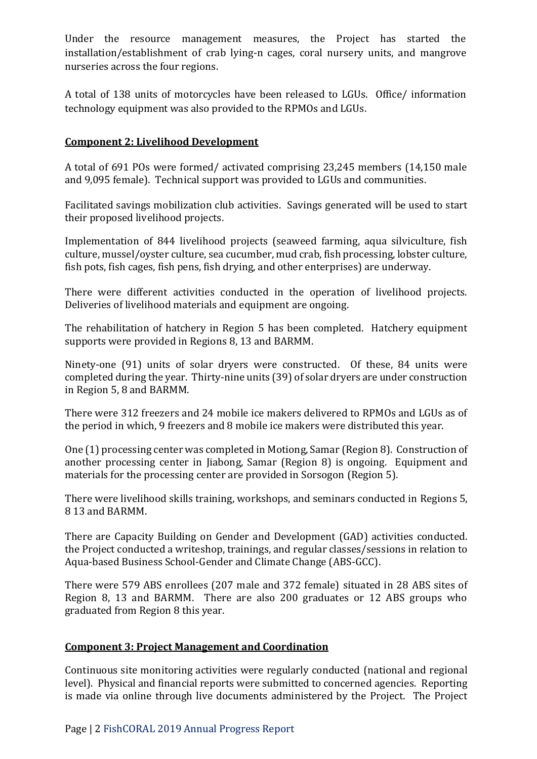Under the resource management measures, the Project has started the installation/establishment of crab lying-n cages, coral nursery units, and mangrove nurseries across the four regions.

A total of 138 units of motorcycles have been released to LGUs. Office/ information technology equipment was also provided to the RPMOs and LGUs.

## **Component 2: Livelihood Development**

A total of 691 POs were formed/ activated comprising 23,245 members (14,150 male and 9,095 female). Technical support was provided to LGUs and communities.

Facilitated savings mobilization club activities. Savings generated will be used to start their proposed livelihood projects.

Implementation of 844 livelihood projects (seaweed farming, aqua silviculture, fish culture, mussel/oyster culture, sea cucumber, mud crab, fish processing, lobster culture, fish pots, fish cages, fish pens, fish drying, and other enterprises) are underway.

There were different activities conducted in the operation of livelihood projects. Deliveries of livelihood materials and equipment are ongoing.

The rehabilitation of hatchery in Region 5 has been completed. Hatchery equipment supports were provided in Regions 8, 13 and BARMM.

Ninety-one (91) units of solar dryers were constructed. Of these, 84 units were completed during the year. Thirty-nine units (39) of solar dryers are under construction in Region 5, 8 and BARMM.

There were 312 freezers and 24 mobile ice makers delivered to RPMOs and LGUs as of the period in which, 9 freezers and 8 mobile ice makers were distributed this year.

One (1) processing center was completed in Motiong, Samar (Region 8). Construction of another processing center in Jiabong, Samar (Region 8) is ongoing. Equipment and materials for the processing center are provided in Sorsogon (Region 5).

There were livelihood skills training, workshops, and seminars conducted in Regions 5, 8 13 and BARMM.

There are Capacity Building on Gender and Development (GAD) activities conducted. the Project conducted a writeshop, trainings, and regular classes/sessions in relation to Aqua-based Business School-Gender and Climate Change (ABS-GCC).

There were 579 ABS enrollees (207 male and 372 female) situated in 28 ABS sites of Region 8, 13 and BARMM. There are also 200 graduates or 12 ABS groups who graduated from Region 8 this year.

#### **Component 3: Project Management and Coordination**

Continuous site monitoring activities were regularly conducted (national and regional level). Physical and financial reports were submitted to concerned agencies. Reporting is made via online through live documents administered by the Project. The Project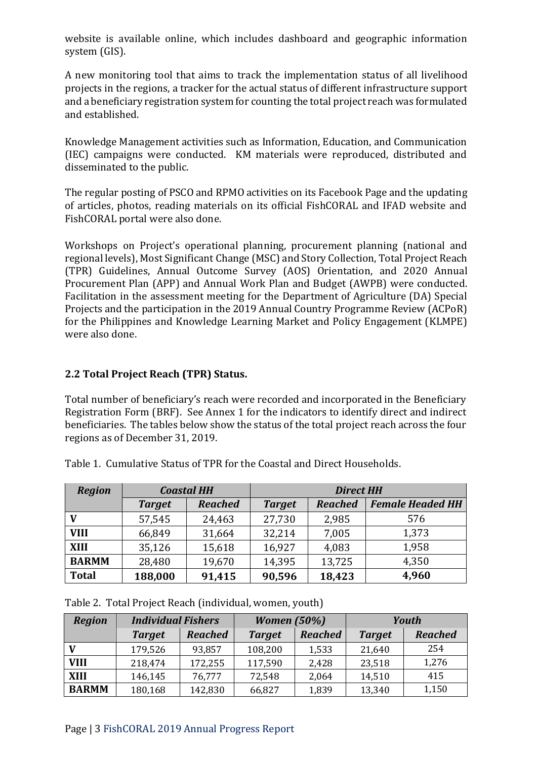website is available online, which includes dashboard and geographic information system (GIS).

A new monitoring tool that aims to track the implementation status of all livelihood projects in the regions, a tracker for the actual status of different infrastructure support and a beneficiary registration system for counting the total project reach was formulated and established.

Knowledge Management activities such as Information, Education, and Communication (IEC) campaigns were conducted. KM materials were reproduced, distributed and disseminated to the public.

The regular posting of PSCO and RPMO activities on its Facebook Page and the updating of articles, photos, reading materials on its official FishCORAL and IFAD website and FishCORAL portal were also done.

Workshops on Project's operational planning, procurement planning (national and regional levels), Most Significant Change (MSC) and Story Collection, Total Project Reach (TPR) Guidelines, Annual Outcome Survey (AOS) Orientation, and 2020 Annual Procurement Plan (APP) and Annual Work Plan and Budget (AWPB) were conducted. Facilitation in the assessment meeting for the Department of Agriculture (DA) Special Projects and the participation in the 2019 Annual Country Programme Review (ACPoR) for the Philippines and Knowledge Learning Market and Policy Engagement (KLMPE) were also done.

### **2.2 Total Project Reach (TPR) Status.**

Total number of beneficiary's reach were recorded and incorporated in the Beneficiary Registration Form (BRF). See Annex 1 for the indicators to identify direct and indirect beneficiaries. The tables below show the status of the total project reach across the four regions as of December 31, 2019.

| <b>Region</b> | <b>Coastal HH</b> |                | <b>Direct HH</b> |                |                         |
|---------------|-------------------|----------------|------------------|----------------|-------------------------|
|               | <b>Target</b>     | <b>Reached</b> | <b>Target</b>    | <b>Reached</b> | <b>Female Headed HH</b> |
|               | 57,545            | 24,463         | 27,730           | 2,985          | 576                     |
| <b>VIII</b>   | 66,849            | 31,664         | 32,214           | 7,005          | 1,373                   |
| <b>XIII</b>   | 35,126            | 15,618         | 16,927           | 4,083          | 1,958                   |
| <b>BARMM</b>  | 28,480            | 19,670         | 14,395           | 13,725         | 4,350                   |
| <b>Total</b>  | 188,000           | 91,415         | 90,596           | 18,423         | 4,960                   |

Table 1. Cumulative Status of TPR for the Coastal and Direct Households.

| Table 2. Total Project Reach (individual, women, youth) |  |  |
|---------------------------------------------------------|--|--|
|---------------------------------------------------------|--|--|

| <b>Region</b> | <b>Individual Fishers</b> |                | <b>Women</b> (50%) |                | Youth         |                |
|---------------|---------------------------|----------------|--------------------|----------------|---------------|----------------|
|               | <b>Target</b>             | <b>Reached</b> | <b>Target</b>      | <b>Reached</b> | <b>Target</b> | <b>Reached</b> |
|               | 179,526                   | 93,857         | 108,200            | 1,533          | 21,640        | 254            |
| <b>VIII</b>   | 218,474                   | 172,255        | 117,590            | 2,428          | 23,518        | 1,276          |
| <b>XIII</b>   | 146,145                   | 76,777         | 72,548             | 2,064          | 14,510        | 415            |
| <b>BARMM</b>  | 180,168                   | 142,830        | 66,827             | 1,839          | 13,340        | 1,150          |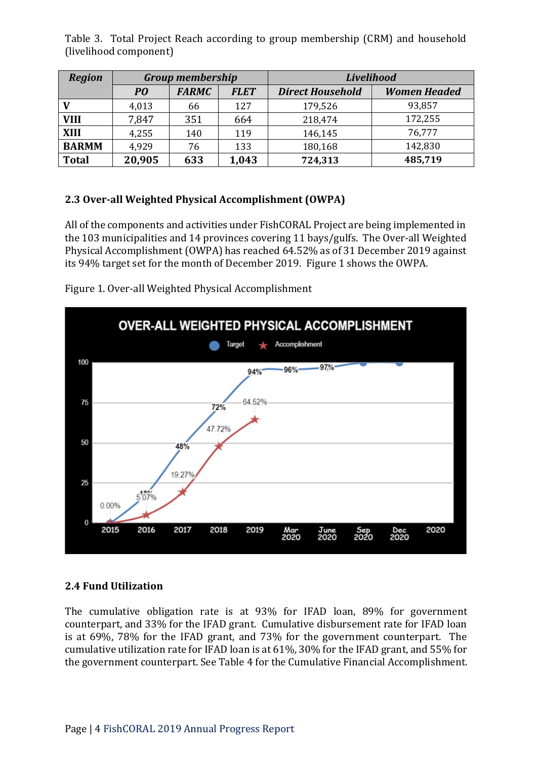Table 3. Total Project Reach according to group membership (CRM) and household (livelihood component)

| <b>Region</b> | <b>Group membership</b> |              |             | <b>Livelihood</b>       |                     |  |
|---------------|-------------------------|--------------|-------------|-------------------------|---------------------|--|
|               | PO                      | <b>FARMC</b> | <b>FLET</b> | <b>Direct Household</b> | <b>Women Headed</b> |  |
|               | 4,013                   | 66           | 127         | 179,526                 | 93,857              |  |
| <b>VIII</b>   | 7,847                   | 351          | 664         | 218,474                 | 172,255             |  |
| <b>XIII</b>   | 4,255                   | 140          | 119         | 146,145                 | 76,777              |  |
| <b>BARMM</b>  | 4,929                   | 76           | 133         | 180,168                 | 142,830             |  |
| <b>Total</b>  | 20,905                  | 633          | 1,043       | 724,313                 | 485,719             |  |

# **2.3 Over-all Weighted Physical Accomplishment (OWPA)**

All of the components and activities under FishCORAL Project are being implemented in the 103 municipalities and 14 provinces covering 11 bays/gulfs. The Over-all Weighted Physical Accomplishment (OWPA) has reached 64.52% as of 31 December 2019 against its 94% target set for the month of December 2019. Figure 1 shows the OWPA.



Figure 1. Over-all Weighted Physical Accomplishment

# **2.4 Fund Utilization**

The cumulative obligation rate is at 93% for IFAD loan, 89% for government counterpart, and 33% for the IFAD grant. Cumulative disbursement rate for IFAD loan is at 69%, 78% for the IFAD grant, and 73% for the government counterpart. The cumulative utilization rate for IFAD loan is at 61%, 30% for the IFAD grant, and 55% for the government counterpart. See Table 4 for the Cumulative Financial Accomplishment.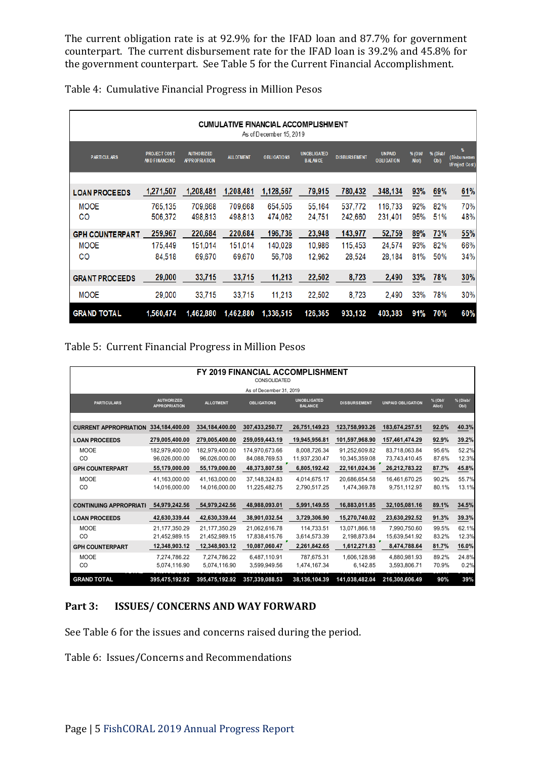The current obligation rate is at 92.9% for the IFAD loan and 87.7% for government counterpart. The current disbursement rate for the IFAD loan is 39.2% and 45.8% for the government counterpart. See Table 5 for the Current Financial Accomplishment.

| <b>CUMULATIVE FINANCIAL ACCOMPLISHMENT</b><br>As of December 15, 2019 |                                             |                                           |                  |                    |                                      |                     |                                    |                    |                             |                                                    |
|-----------------------------------------------------------------------|---------------------------------------------|-------------------------------------------|------------------|--------------------|--------------------------------------|---------------------|------------------------------------|--------------------|-----------------------------|----------------------------------------------------|
| <b>PARTICULARS</b>                                                    | <b>PROJECT COST</b><br><b>AND FINANCING</b> | <b>AUTHORIZED</b><br><b>APPROPRIATION</b> | <b>ALLOTMENT</b> | <b>OBLIGATIONS</b> | <b>UNOBLIGATED</b><br><b>BALANCE</b> | <b>DISBURSEMENT</b> | <b>UNPAID</b><br><b>OBLIGATION</b> | % (Obl/<br>All ot) | % (Disb/<br>Ob <sub>l</sub> | $\boldsymbol{w}$<br>(Disbursemen<br>t/Project Cost |
|                                                                       |                                             |                                           |                  |                    |                                      |                     |                                    |                    |                             |                                                    |
| <b>LOAN PROCEEDS</b>                                                  | 1,271,507                                   | 1,208,481                                 | 1,208,481        | 1,128,567          | 79,915                               | 780,432             | 348,134                            | 93%                | 69%                         | 61%                                                |
| <b>MOOE</b>                                                           | 765.135                                     | 709,668                                   | 709.668          | 654.505            | 55,164                               | 537.772             | 116,733                            | 92%                | 82%                         | 70%                                                |
| CO                                                                    | 506,372                                     | 498,813                                   | 498,813          | 474,062            | 24,751                               | 242,660             | 231,401                            | 95%                | 51%                         | 48%                                                |
| <b>GPH COUNTERPART</b>                                                | 259,967                                     | 220,684                                   | 220,684          | 196,736            | 23,948                               | 143,977             | 52,759                             | 89%                | 73%                         | 55%                                                |
| <b>MOOE</b>                                                           | 175.449                                     | 151.014                                   | 151.014          | 140.028            | 10.986                               | 115.453             | 24.574                             | 93%                | 82%                         | 66%                                                |
| CO                                                                    | 84,518                                      | 69,670                                    | 69,670           | 56,708             | 12,962                               | 28,524              | 28,184                             | 81%                | 50%                         | 34%                                                |
| <b>GRANT PROCEEDS</b>                                                 | 29,000                                      | 33,715                                    | 33,715           | 11,213             | 22,502                               | 8,723               | 2,490                              | 33%                | 78%                         | 30%                                                |
| <b>MOOE</b>                                                           | 29,000                                      | 33,715                                    | 33,715           | 11,213             | 22,502                               | 8,723               | 2,490                              | 33%                | 78%                         | 30%                                                |
| <b>GRAND TOTAL</b>                                                    | 1,560,474                                   | 1,462,880                                 | 1,462,880        | 1,336,515          | 126,365                              | 933,132             | 403,383                            | 91%                | 70%                         | 60%                                                |

Table 5: Current Financial Progress in Million Pesos

| <b>FY 2019 FINANCIAL ACCOMPLISHMENT</b><br>CONSOLIDATED |                                           |                                 |                                   |                                      |                                |                                |                   |                  |
|---------------------------------------------------------|-------------------------------------------|---------------------------------|-----------------------------------|--------------------------------------|--------------------------------|--------------------------------|-------------------|------------------|
|                                                         |                                           |                                 | As of December 31, 2019           |                                      |                                |                                |                   |                  |
| <b>PARTICULARS</b>                                      | <b>AUTHORIZED</b><br><b>APPROPRIATION</b> | <b>ALLOTMENT</b>                | <b>OBLIGATIONS</b>                | <b>UNOBLIGATED</b><br><b>BALANCE</b> | <b>DISBURSEMENT</b>            | <b>UNPAID OBLIGATION</b>       | % (Obl/<br>Allot) | % (Disb/<br>Obl) |
| <b>CURRENT APPROPRIATION</b>                            | 334,184,400.00                            | 334,184,400.00                  | 307,433,250.77                    | 26,751,149.23                        | 123,758,993.26                 | 183,674,257.51                 | 92.0%             | 40.3%            |
| <b>LOAN PROCEEDS</b>                                    | 279,005,400.00                            | 279,005,400.00                  | 259,059,443.19                    | 19,945,956.81                        | 101,597,968.90                 | 157,461,474.29                 | 92.9%             | 39.2%            |
| <b>MOOE</b><br><sub>CO</sub>                            | 182,979,400.00<br>96,026,000.00           | 182,979,400.00<br>96,026,000.00 | 174,970,673.66<br>84,088,769.53   | 8,008,726.34<br>11,937,230.47        | 91,252,609.82<br>10,345,359.08 | 83,718,063.84<br>73,743,410.45 | 95.6%<br>87.6%    | 52.2%<br>12.3%   |
| <b>GPH COUNTERPART</b>                                  | 55,179,000.00                             | 55,179,000.00                   | 48,373,807.58                     | 6,805,192.42                         | 22,161,024.36                  | 26,212,783.22                  | 87.7%             | 45.8%            |
| <b>MOOE</b><br><sub>CO</sub>                            | 41,163,000.00<br>14,016,000.00            | 41,163,000.00<br>14,016,000.00  | 37, 148, 324. 83<br>11,225,482.75 | 4,014,675.17<br>2,790,517.25         | 20,686,654.58<br>1,474,369.78  | 16,461,670.25<br>9,751,112.97  | 90.2%<br>80.1%    | 55.7%<br>13.1%   |
| <b>CONTINUING APPROPRIATI</b>                           | 54,979,242.56                             | 54,979,242.56                   | 48,988,093.01                     | 5,991,149.55                         | 16,883,011.85                  | 32,105,081.16                  | 89.1%             | 34.5%            |
| <b>LOAN PROCEEDS</b>                                    | 42,630,339.44                             | 42,630,339.44                   | 38,901,032.54                     | 3,729,306.90                         | 15,270,740.02                  | 23,630,292.52                  | 91.3%             | 39.3%            |
| <b>MOOE</b><br><sub>CO</sub>                            | 21,177,350.29<br>21,452,989.15            | 21,177,350.29<br>21,452,989.15  | 21,062,616.78<br>17,838,415.76    | 114.733.51<br>3,614,573.39           | 13,071,866.18<br>2,198,873.84  | 7,990,750.60<br>15,639,541.92  | 99.5%<br>83.2%    | 62.1%<br>12.3%   |
| <b>GPH COUNTERPART</b>                                  | 12,348,903.12                             | 12,348,903.12                   | 10,087,060.47                     | 2,261,842.65                         | 1,612,271.83                   | 8,474,788.64                   | 81.7%             | 16.0%            |
| <b>MOOE</b><br><sub>CO</sub>                            | 7.274.786.22<br>5,074,116.90              | 7.274.786.22<br>5,074,116.90    | 6.487.110.91<br>3,599,949.56      | 787.675.31<br>1,474,167.34           | 1.606.128.98<br>6,142.85       | 4.880.981.93<br>3,593,806.71   | 89.2%<br>70.9%    | 24.8%<br>0.2%    |
| <b>GRAND TOTAL</b>                                      | 395,475,192.92                            | 395,475,192.92                  | 357,339,088.53                    | 38,136,104.39                        | 141,038,482.04                 | 216.300.606.49                 | 90%               | 39%              |

## **Part 3: ISSUES/ CONCERNS AND WAY FORWARD**

See Table 6 for the issues and concerns raised during the period.

Table 6: Issues/Concerns and Recommendations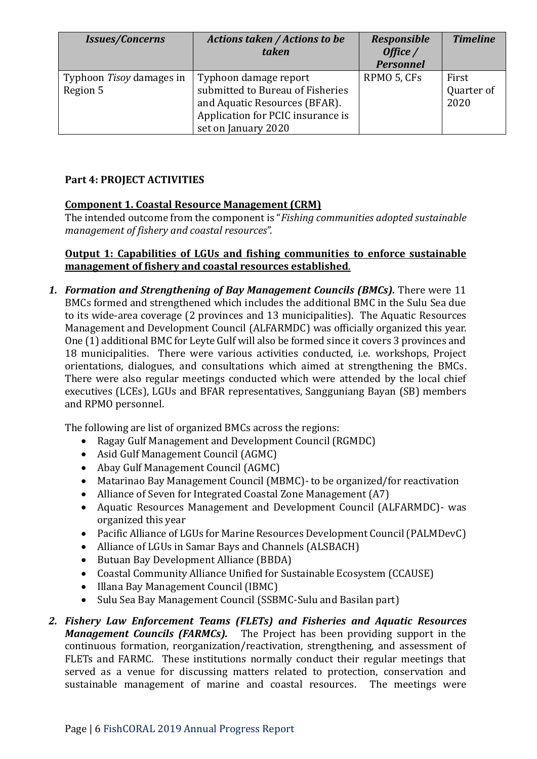| <b>Issues/Concerns</b>               | <b>Actions taken / Actions to be</b><br>taken                                                                                                          | <b>Responsible</b><br>Office /<br><b>Personnel</b> | <b>Timeline</b>             |
|--------------------------------------|--------------------------------------------------------------------------------------------------------------------------------------------------------|----------------------------------------------------|-----------------------------|
| Typhoon Tisoy damages in<br>Region 5 | Typhoon damage report<br>submitted to Bureau of Fisheries<br>and Aquatic Resources (BFAR).<br>Application for PCIC insurance is<br>set on January 2020 | RPMO 5, CFs                                        | First<br>Quarter of<br>2020 |

## **Part 4: PROJECT ACTIVITIES**

### **Component 1. Coastal Resource Management (CRM)**

The intended outcome from the component is "*Fishing communities adopted sustainable management of fishery and coastal resources*".

#### **Output 1: Capabilities of LGUs and fishing communities to enforce sustainable management of fishery and coastal resources established**.

*1. Formation and Strengthening of Bay Management Councils (BMCs).* There were 11 BMCs formed and strengthened which includes the additional BMC in the Sulu Sea due to its wide-area coverage (2 provinces and 13 municipalities). The Aquatic Resources Management and Development Council (ALFARMDC) was officially organized this year. One (1) additional BMC for Leyte Gulf will also be formed since it covers 3 provinces and 18 municipalities. There were various activities conducted, i.e. workshops, Project orientations, dialogues, and consultations which aimed at strengthening the BMCs. There were also regular meetings conducted which were attended by the local chief executives (LCEs), LGUs and BFAR representatives, Sangguniang Bayan (SB) members and RPMO personnel.

The following are list of organized BMCs across the regions:

- Ragay Gulf Management and Development Council (RGMDC)
- Asid Gulf Management Council (AGMC)
- Abay Gulf Management Council (AGMC)
- Matarinao Bay Management Council (MBMC)- to be organized/for reactivation
- Alliance of Seven for Integrated Coastal Zone Management (A7)
- Aquatic Resources Management and Development Council (ALFARMDC)- was organized this year
- Pacific Alliance of LGUs for Marine Resources Development Council (PALMDevC)
- Alliance of LGUs in Samar Bays and Channels (ALSBACH)
- Butuan Bay Development Alliance (BBDA)
- Coastal Community Alliance Unified for Sustainable Ecosystem (CCAUSE)
- Illana Bay Management Council (IBMC)
- Sulu Sea Bay Management Council (SSBMC-Sulu and Basilan part)
- *2. Fishery Law Enforcement Teams (FLETs) and Fisheries and Aquatic Resources Management Councils (FARMCs).* The Project has been providing support in the continuous formation, reorganization/reactivation, strengthening, and assessment of FLETs and FARMC. These institutions normally conduct their regular meetings that served as a venue for discussing matters related to protection, conservation and sustainable management of marine and coastal resources. The meetings were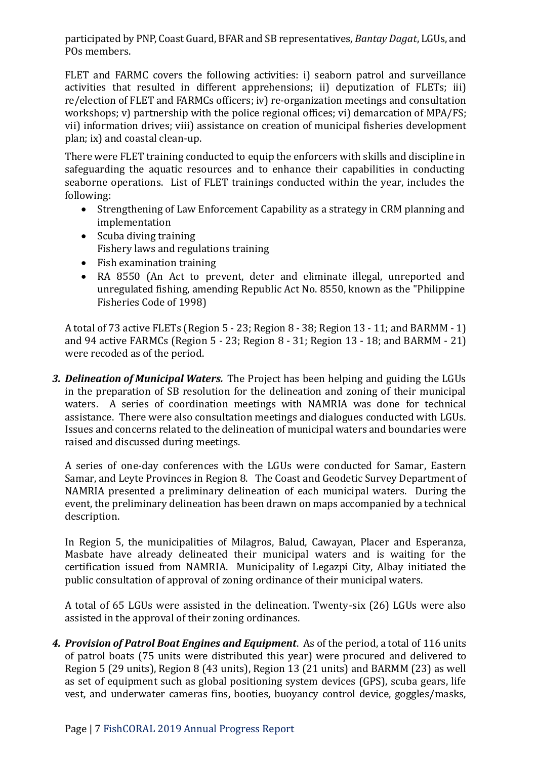participated by PNP, Coast Guard, BFAR and SB representatives, *Bantay Dagat*, LGUs, and POs members.

FLET and FARMC covers the following activities: i) seaborn patrol and surveillance activities that resulted in different apprehensions; ii) deputization of FLETs; iii) re/election of FLET and FARMCs officers; iv) re-organization meetings and consultation workshops; v) partnership with the police regional offices; vi) demarcation of MPA/FS; vii) information drives; viii) assistance on creation of municipal fisheries development plan; ix) and coastal clean-up.

There were FLET training conducted to equip the enforcers with skills and discipline in safeguarding the aquatic resources and to enhance their capabilities in conducting seaborne operations. List of FLET trainings conducted within the year, includes the following:

- Strengthening of Law Enforcement Capability as a strategy in CRM planning and implementation
- Scuba diving training Fishery laws and regulations training
- Fish examination training
- RA 8550 (An Act to prevent, deter and eliminate illegal, unreported and unregulated fishing, amending Republic Act No. 8550, known as the "Philippine Fisheries Code of 1998)

A total of 73 active FLETs (Region 5 - 23; Region 8 - 38; Region 13 - 11; and BARMM - 1) and 94 active FARMCs (Region 5 - 23; Region 8 - 31; Region 13 - 18; and BARMM - 21) were recoded as of the period.

*3. Delineation of Municipal Waters.* The Project has been helping and guiding the LGUs in the preparation of SB resolution for the delineation and zoning of their municipal waters. A series of coordination meetings with NAMRIA was done for technical assistance. There were also consultation meetings and dialogues conducted with LGUs. Issues and concerns related to the delineation of municipal waters and boundaries were raised and discussed during meetings.

A series of one-day conferences with the LGUs were conducted for Samar, Eastern Samar, and Leyte Provinces in Region 8. The Coast and Geodetic Survey Department of NAMRIA presented a preliminary delineation of each municipal waters. During the event, the preliminary delineation has been drawn on maps accompanied by a technical description.

In Region 5, the municipalities of Milagros, Balud, Cawayan, Placer and Esperanza, Masbate have already delineated their municipal waters and is waiting for the certification issued from NAMRIA. Municipality of Legazpi City, Albay initiated the public consultation of approval of zoning ordinance of their municipal waters.

A total of 65 LGUs were assisted in the delineation. Twenty-six (26) LGUs were also assisted in the approval of their zoning ordinances.

*4. Provision of Patrol Boat Engines and Equipment*. As of the period, a total of 116 units of patrol boats (75 units were distributed this year) were procured and delivered to Region 5 (29 units), Region 8 (43 units), Region 13 (21 units) and BARMM (23) as well as set of equipment such as global positioning system devices (GPS), scuba gears, life vest, and underwater cameras fins, booties, buoyancy control device, goggles/masks,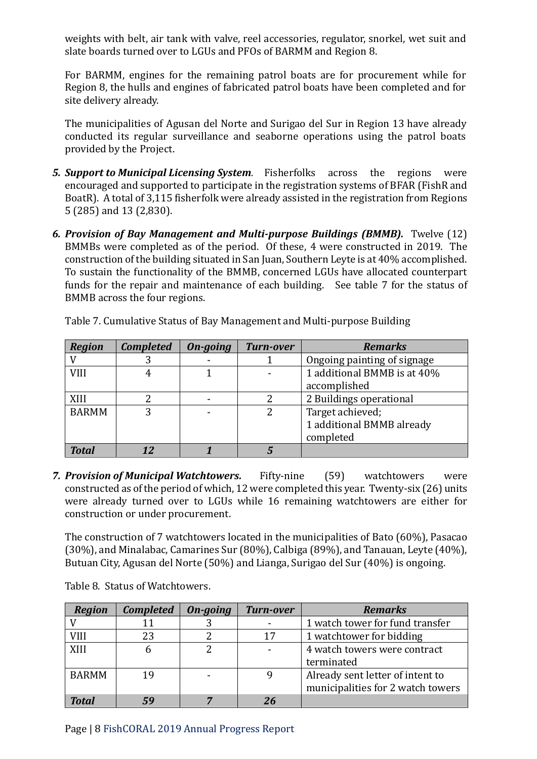weights with belt, air tank with valve, reel accessories, regulator, snorkel, wet suit and slate boards turned over to LGUs and PFOs of BARMM and Region 8.

For BARMM, engines for the remaining patrol boats are for procurement while for Region 8, the hulls and engines of fabricated patrol boats have been completed and for site delivery already.

The municipalities of Agusan del Norte and Surigao del Sur in Region 13 have already conducted its regular surveillance and seaborne operations using the patrol boats provided by the Project.

- *5. Support to Municipal Licensing System.* Fisherfolks across the regions were encouraged and supported to participate in the registration systems of BFAR (FishR and BoatR). A total of 3,115 fisherfolk were already assisted in the registration from Regions 5 (285) and 13 (2,830).
- *6. Provision of Bay Management and Multi-purpose Buildings (BMMB).* Twelve (12) BMMBs were completed as of the period. Of these, 4 were constructed in 2019. The construction of the building situated in San Juan, Southern Leyte is at 40% accomplished. To sustain the functionality of the BMMB, concerned LGUs have allocated counterpart funds for the repair and maintenance of each building.See table 7 for the status of BMMB across the four regions.

| <b>Region</b> | <b>Completed</b> | On-going | <b>Turn-over</b> | <b>Remarks</b>              |
|---------------|------------------|----------|------------------|-----------------------------|
|               |                  |          |                  | Ongoing painting of signage |
| VIII          |                  |          |                  | 1 additional BMMB is at 40% |
|               |                  |          |                  | accomplished                |
| XIII          |                  |          |                  | 2 Buildings operational     |
| <b>BARMM</b>  |                  |          |                  | Target achieved;            |
|               |                  |          |                  | 1 additional BMMB already   |
|               |                  |          |                  | completed                   |
| <b>Total</b>  |                  |          |                  |                             |

Table 7. Cumulative Status of Bay Management and Multi-purpose Building

*7. Provision of Municipal Watchtowers.* Fifty-nine (59) watchtowers were constructed as of the period of which, 12 were completed this year. Twenty-six (26) units were already turned over to LGUs while 16 remaining watchtowers are either for construction or under procurement.

The construction of 7 watchtowers located in the municipalities of Bato (60%), Pasacao (30%), and Minalabac, Camarines Sur (80%), Calbiga (89%), and Tanauan, Leyte (40%), Butuan City, Agusan del Norte (50%) and Lianga, Surigao del Sur (40%) is ongoing.

| <b>Region</b> | <b>Completed</b> | On-going | <b>Turn-over</b> | <b>Remarks</b>                    |
|---------------|------------------|----------|------------------|-----------------------------------|
|               |                  |          |                  | 1 watch tower for fund transfer   |
| VIII          | 23               |          | 17               | 1 watchtower for bidding          |
| XIII          |                  |          |                  | 4 watch towers were contract      |
|               |                  |          |                  | terminated                        |
| <b>BARMM</b>  | 19               |          |                  | Already sent letter of intent to  |
|               |                  |          |                  | municipalities for 2 watch towers |
| Total         |                  |          |                  |                                   |

Table 8. Status of Watchtowers.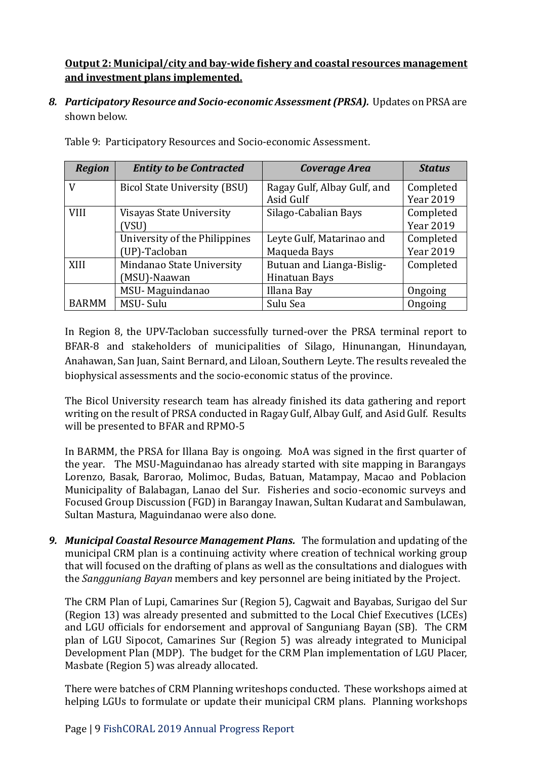# **Output 2: Municipal/city and bay-wide fishery and coastal resources management and investment plans implemented.**

*8. Participatory Resource and Socio-economic Assessment (PRSA).* Updates on PRSA are shown below.

| <b>Region</b> | <b>Entity to be Contracted</b> | Coverage Area               | <b>Status</b>    |
|---------------|--------------------------------|-----------------------------|------------------|
| V             | Bicol State University (BSU)   | Ragay Gulf, Albay Gulf, and | Completed        |
|               |                                | Asid Gulf                   | <b>Year 2019</b> |
| <b>VIII</b>   | Visayas State University       | Silago-Cabalian Bays        | Completed        |
|               | VSU)                           |                             | <b>Year 2019</b> |
|               | University of the Philippines  | Leyte Gulf, Matarinao and   | Completed        |
|               | (UP)-Tacloban                  | Maqueda Bays                | <b>Year 2019</b> |
| XIII          | Mindanao State University      | Butuan and Lianga-Bislig-   | Completed        |
|               | (MSU)-Naawan                   | Hinatuan Bays               |                  |
|               | MSU-Maguindanao                | Illana Bay                  | Ongoing          |
| <b>BARMM</b>  | MSU-Sulu                       | Sulu Sea                    | Ongoing          |

Table 9: Participatory Resources and Socio-economic Assessment.

In Region 8, the UPV-Tacloban successfully turned-over the PRSA terminal report to BFAR-8 and stakeholders of municipalities of Silago, Hinunangan, Hinundayan, Anahawan, San Juan, Saint Bernard, and Liloan, Southern Leyte. The results revealed the biophysical assessments and the socio-economic status of the province.

The Bicol University research team has already finished its data gathering and report writing on the result of PRSA conducted in Ragay Gulf, Albay Gulf, and Asid Gulf. Results will be presented to BFAR and RPMO-5

In BARMM, the PRSA for Illana Bay is ongoing. MoA was signed in the first quarter of the year. The MSU-Maguindanao has already started with site mapping in Barangays Lorenzo, Basak, Barorao, Molimoc, Budas, Batuan, Matampay, Macao and Poblacion Municipality of Balabagan, Lanao del Sur. Fisheries and socio-economic surveys and Focused Group Discussion (FGD) in Barangay Inawan, Sultan Kudarat and Sambulawan, Sultan Mastura, Maguindanao were also done.

*9. Municipal Coastal Resource Management Plans.* The formulation and updating of the municipal CRM plan is a continuing activity where creation of technical working group that will focused on the drafting of plans as well as the consultations and dialogues with the *Sangguniang Bayan* members and key personnel are being initiated by the Project.

The CRM Plan of Lupi, Camarines Sur (Region 5), Cagwait and Bayabas, Surigao del Sur (Region 13) was already presented and submitted to the Local Chief Executives (LCEs) and LGU officials for endorsement and approval of Sanguniang Bayan (SB). The CRM plan of LGU Sipocot, Camarines Sur (Region 5) was already integrated to Municipal Development Plan (MDP). The budget for the CRM Plan implementation of LGU Placer, Masbate (Region 5) was already allocated.

There were batches of CRM Planning writeshops conducted. These workshops aimed at helping LGUs to formulate or update their municipal CRM plans. Planning workshops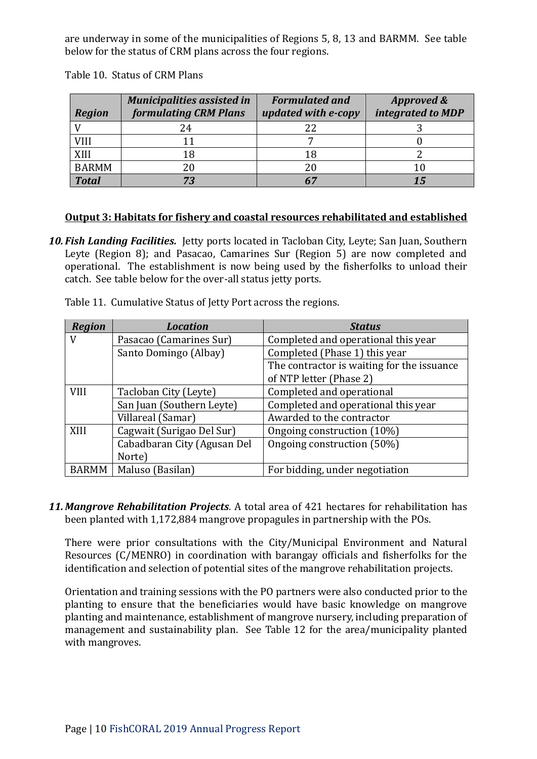are underway in some of the municipalities of Regions 5, 8, 13 and BARMM. See table below for the status of CRM plans across the four regions.

| <b>Region</b> | <b>Municipalities assisted in</b><br><b>formulating CRM Plans</b> | <b>Formulated and</b><br>updated with e-copy | <b>Approved &amp;</b><br>integrated to MDP |
|---------------|-------------------------------------------------------------------|----------------------------------------------|--------------------------------------------|
|               | 24                                                                | 22                                           |                                            |
| VIII          |                                                                   |                                              |                                            |
| XIII          | 18                                                                | 18                                           |                                            |
| <b>BARMM</b>  | 20                                                                | 20                                           |                                            |
| <b>Total</b>  | 73                                                                |                                              |                                            |

Table 10. Status of CRM Plans

#### **Output 3: Habitats for fishery and coastal resources rehabilitated and established**

*10. Fish Landing Facilities.* Jetty ports located in Tacloban City, Leyte; San Juan, Southern Leyte (Region 8); and Pasacao, Camarines Sur (Region 5) are now completed and operational. The establishment is now being used by the fisherfolks to unload their catch. See table below for the over-all status jetty ports.

| <b>Region</b> | <b>Location</b>             | <b>Status</b>                              |
|---------------|-----------------------------|--------------------------------------------|
| V             | Pasacao (Camarines Sur)     | Completed and operational this year        |
|               | Santo Domingo (Albay)       | Completed (Phase 1) this year              |
|               |                             | The contractor is waiting for the issuance |
|               |                             | of NTP letter (Phase 2)                    |
| <b>VIII</b>   | Tacloban City (Leyte)       | Completed and operational                  |
|               | San Juan (Southern Leyte)   | Completed and operational this year        |
|               | Villareal (Samar)           | Awarded to the contractor                  |
| XIII          | Cagwait (Surigao Del Sur)   | Ongoing construction (10%)                 |
|               | Cabadbaran City (Agusan Del | Ongoing construction (50%)                 |
|               | Norte)                      |                                            |
| <b>BARMM</b>  | Maluso (Basilan)            | For bidding, under negotiation             |

Table 11. Cumulative Status of Jetty Port across the regions.

*11. Mangrove Rehabilitation Projects.* A total area of 421 hectares for rehabilitation has been planted with 1,172,884 mangrove propagules in partnership with the POs.

There were prior consultations with the City/Municipal Environment and Natural Resources (C/MENRO) in coordination with barangay officials and fisherfolks for the identification and selection of potential sites of the mangrove rehabilitation projects.

Orientation and training sessions with the PO partners were also conducted prior to the planting to ensure that the beneficiaries would have basic knowledge on mangrove planting and maintenance, establishment of mangrove nursery, including preparation of management and sustainability plan. See Table 12 for the area/municipality planted with mangroves.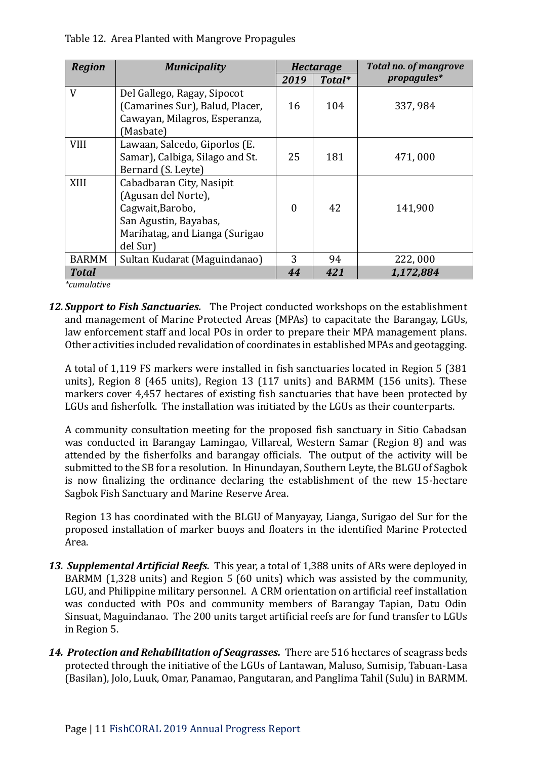| Table 12. Area Planted with Mangrove Propagules |  |  |
|-------------------------------------------------|--|--|
|                                                 |  |  |
|                                                 |  |  |

| <b>Region</b> | <b>Municipality</b>             | <b>Hectarage</b> |        | <b>Total no. of mangrove</b> |
|---------------|---------------------------------|------------------|--------|------------------------------|
|               |                                 | 2019             | Total* | propagules*                  |
| V             | Del Gallego, Ragay, Sipocot     |                  |        |                              |
|               | Camarines Sur), Balud, Placer,  | 16               | 104    | 337,984                      |
|               | Cawayan, Milagros, Esperanza,   |                  |        |                              |
|               | [Masbate]                       |                  |        |                              |
| <b>VIII</b>   | Lawaan, Salcedo, Giporlos (E.   |                  |        |                              |
|               | Samar), Calbiga, Silago and St. | 25               | 181    | 471,000                      |
|               | Bernard (S. Leyte)              |                  |        |                              |
| XIII          | Cabadbaran City, Nasipit        |                  |        |                              |
|               | (Agusan del Norte),             |                  |        |                              |
|               | Cagwait, Barobo,                | $\theta$         | 42     | 141,900                      |
|               | San Agustin, Bayabas,           |                  |        |                              |
|               | Marihatag, and Lianga (Surigao  |                  |        |                              |
|               | del Sur)                        |                  |        |                              |
| <b>BARMM</b>  | Sultan Kudarat (Maguindanao)    | 3                | 94     | 222,000                      |
| <b>Total</b>  |                                 | 44               | 421    | 1,172,884                    |

*\*cumulative*

*12. Support to Fish Sanctuaries.* The Project conducted workshops on the establishment and management of Marine Protected Areas (MPAs) to capacitate the Barangay, LGUs, law enforcement staff and local POs in order to prepare their MPA management plans. Other activities included revalidation of coordinates in established MPAs and geotagging.

A total of 1,119 FS markers were installed in fish sanctuaries located in Region 5 (381 units), Region 8 (465 units), Region 13 (117 units) and BARMM (156 units). These markers cover 4,457 hectares of existing fish sanctuaries that have been protected by LGUs and fisherfolk. The installation was initiated by the LGUs as their counterparts.

A community consultation meeting for the proposed fish sanctuary in Sitio Cabadsan was conducted in Barangay Lamingao, Villareal, Western Samar (Region 8) and was attended by the fisherfolks and barangay officials. The output of the activity will be submitted to the SB for a resolution. In Hinundayan, Southern Leyte, the BLGU of Sagbok is now finalizing the ordinance declaring the establishment of the new 15-hectare Sagbok Fish Sanctuary and Marine Reserve Area.

Region 13 has coordinated with the BLGU of Manyayay, Lianga, Surigao del Sur for the proposed installation of marker buoys and floaters in the identified Marine Protected Area.

- *13. Supplemental Artificial Reefs.* This year, a total of 1,388 units of ARs were deployed in BARMM (1,328 units) and Region 5 (60 units) which was assisted by the community, LGU, and Philippine military personnel. A CRM orientation on artificial reef installation was conducted with POs and community members of Barangay Tapian, Datu Odin Sinsuat, Maguindanao. The 200 units target artificial reefs are for fund transfer to LGUs in Region 5.
- *14. Protection and Rehabilitation of Seagrasses.* There are 516 hectares of seagrass beds protected through the initiative of the LGUs of Lantawan, Maluso, Sumisip, Tabuan-Lasa (Basilan), Jolo, Luuk, Omar, Panamao, Pangutaran, and Panglima Tahil (Sulu) in BARMM.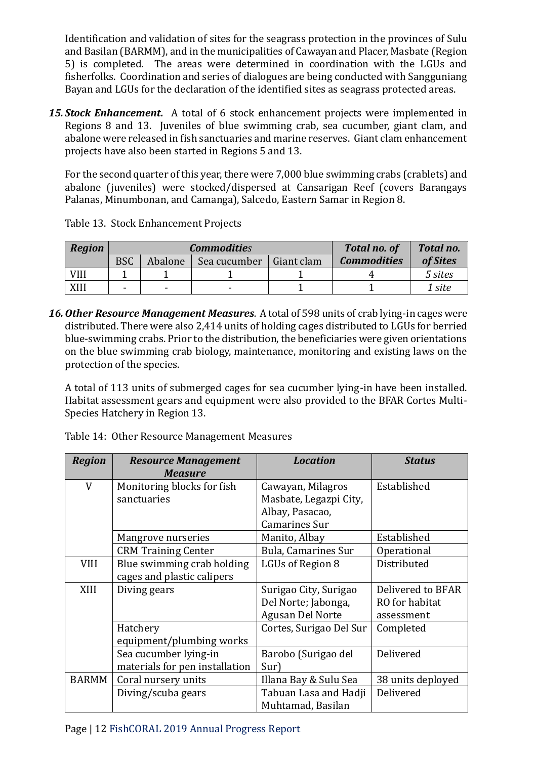Identification and validation of sites for the seagrass protection in the provinces of Sulu and Basilan (BARMM), and in the municipalities of Cawayan and Placer, Masbate (Region 5) is completed. The areas were determined in coordination with the LGUs and fisherfolks. Coordination and series of dialogues are being conducted with Sangguniang Bayan and LGUs for the declaration of the identified sites as seagrass protected areas.

*15. Stock Enhancement.* A total of 6 stock enhancement projects were implemented in Regions 8 and 13. Juveniles of blue swimming crab, sea cucumber, giant clam, and abalone were released in fish sanctuaries and marine reserves. Giant clam enhancement projects have also been started in Regions 5 and 13.

For the second quarter of this year, there were 7,000 blue swimming crabs (crablets) and abalone (juveniles) were stocked/dispersed at Cansarigan Reef (covers Barangays Palanas, Minumbonan, and Camanga), Salcedo, Eastern Samar in Region 8.

| Region      |            |                          | <b>Commodities</b>       | <b>Total no. of</b> | Total no.          |          |
|-------------|------------|--------------------------|--------------------------|---------------------|--------------------|----------|
|             | <b>BSC</b> | Abalone                  | Sea cucumber             | Giant clam          | <b>Commodities</b> | of Sites |
| <b>VIII</b> |            |                          |                          |                     |                    | 5 sites  |
| XIII        | -          | $\overline{\phantom{0}}$ | $\overline{\phantom{a}}$ |                     |                    | 1 site   |

Table 13. Stock Enhancement Projects

*16.Other Resource Management Measures.* A total of 598 units of crab lying-in cages were distributed. There were also 2,414 units of holding cages distributed to LGUs for berried blue-swimming crabs. Prior to the distribution, the beneficiaries were given orientations on the blue swimming crab biology, maintenance, monitoring and existing laws on the protection of the species.

A total of 113 units of submerged cages for sea cucumber lying-in have been installed. Habitat assessment gears and equipment were also provided to the BFAR Cortes Multi-Species Hatchery in Region 13.

| Table 14: Other Resource Management Measures |  |
|----------------------------------------------|--|
|                                              |  |

| <b>Region</b> | <b>Resource Management</b><br><b>Measure</b> | <b>Location</b>            | <b>Status</b>     |
|---------------|----------------------------------------------|----------------------------|-------------------|
| V             | Monitoring blocks for fish                   | Cawayan, Milagros          | Established       |
|               | sanctuaries                                  | Masbate, Legazpi City,     |                   |
|               |                                              | Albay, Pasacao,            |                   |
|               |                                              | <b>Camarines Sur</b>       |                   |
|               | Mangrove nurseries                           | Manito, Albay              | Established       |
|               | <b>CRM Training Center</b>                   | <b>Bula, Camarines Sur</b> | Operational       |
| <b>VIII</b>   | Blue swimming crab holding                   | LGUs of Region 8           | Distributed       |
|               | cages and plastic calipers                   |                            |                   |
| XIII          | Diving gears                                 | Surigao City, Surigao      | Delivered to BFAR |
|               |                                              | Del Norte; Jabonga,        | RO for habitat    |
|               |                                              | Agusan Del Norte           | assessment        |
|               | Hatchery                                     | Cortes, Surigao Del Sur    | Completed         |
|               | equipment/plumbing works                     |                            |                   |
|               | Sea cucumber lying-in                        | Barobo (Surigao del        | Delivered         |
|               | materials for pen installation               | Sur)                       |                   |
| <b>BARMM</b>  | Coral nursery units                          | Illana Bay & Sulu Sea      | 38 units deployed |
|               | Diving/scuba gears                           | Tabuan Lasa and Hadji      | Delivered         |
|               |                                              | Muhtamad, Basilan          |                   |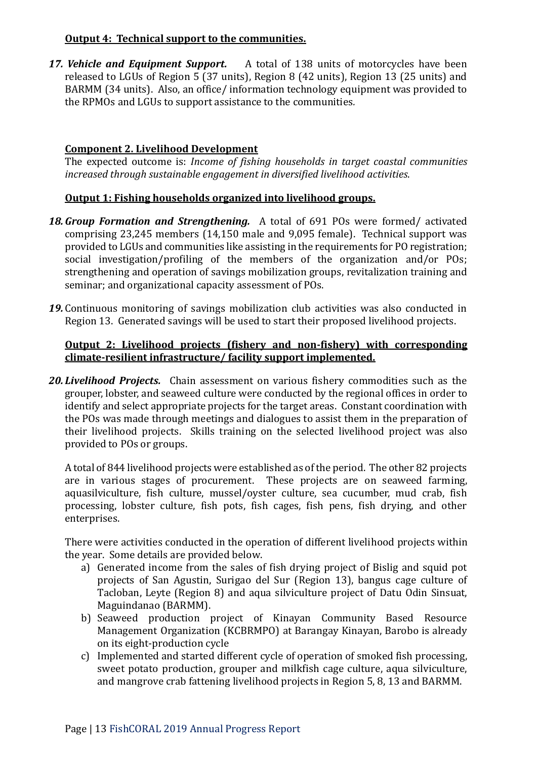### **Output 4: Technical support to the communities.**

*17. Vehicle and Equipment Support.* A total of 138 units of motorcycles have been released to LGUs of Region 5 (37 units), Region 8 (42 units), Region 13 (25 units) and BARMM (34 units). Also, an office/ information technology equipment was provided to the RPMOs and LGUs to support assistance to the communities*.*

## **Component 2. Livelihood Development**

The expected outcome is: *Income of fishing households in target coastal communities increased through sustainable engagement in diversified livelihood activities*.

### **Output 1: Fishing households organized into livelihood groups.**

- *18.Group Formation and Strengthening.* A total of 691 POs were formed/ activated comprising 23,245 members (14,150 male and 9,095 female). Technical support was provided to LGUs and communities like assisting in the requirements for PO registration; social investigation/profiling of the members of the organization and/or POs; strengthening and operation of savings mobilization groups, revitalization training and seminar; and organizational capacity assessment of POs.
- 19. Continuous monitoring of savings mobilization club activities was also conducted in Region 13. Generated savings will be used to start their proposed livelihood projects.

#### **Output 2: Livelihood projects (fishery and non-fishery) with corresponding climate-resilient infrastructure/ facility support implemented.**

*20. Livelihood Projects.* Chain assessment on various fishery commodities such as the grouper, lobster, and seaweed culture were conducted by the regional offices in order to identify and select appropriate projects for the target areas. Constant coordination with the POs was made through meetings and dialogues to assist them in the preparation of their livelihood projects. Skills training on the selected livelihood project was also provided to POs or groups.

A total of 844 livelihood projects were established as of the period. The other 82 projects are in various stages of procurement. These projects are on seaweed farming, aquasilviculture, fish culture, mussel/oyster culture, sea cucumber, mud crab, fish processing, lobster culture, fish pots, fish cages, fish pens, fish drying, and other enterprises.

There were activities conducted in the operation of different livelihood projects within the year. Some details are provided below.

- a) Generated income from the sales of fish drying project of Bislig and squid pot projects of San Agustin, Surigao del Sur (Region 13), bangus cage culture of Tacloban, Leyte (Region 8) and aqua silviculture project of Datu Odin Sinsuat, Maguindanao (BARMM).
- b) Seaweed production project of Kinayan Community Based Resource Management Organization (KCBRMPO) at Barangay Kinayan, Barobo is already on its eight-production cycle
- c) Implemented and started different cycle of operation of smoked fish processing, sweet potato production, grouper and milkfish cage culture, aqua silviculture, and mangrove crab fattening livelihood projects in Region 5, 8, 13 and BARMM.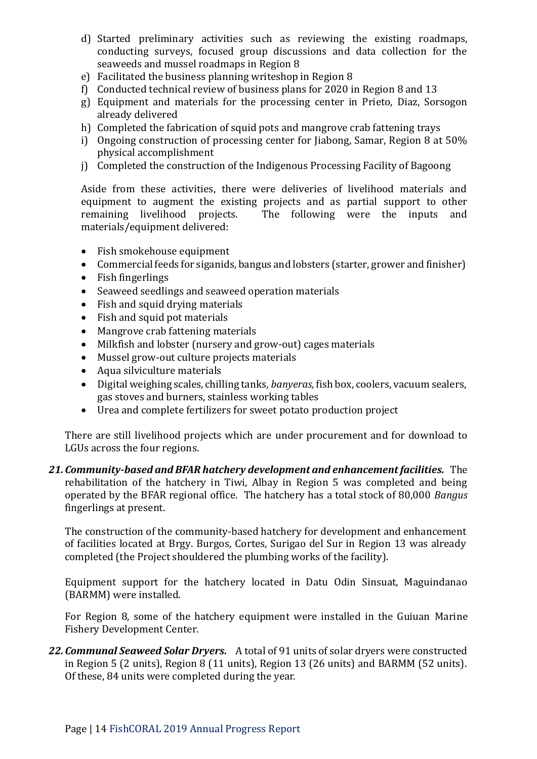- d) Started preliminary activities such as reviewing the existing roadmaps, conducting surveys, focused group discussions and data collection for the seaweeds and mussel roadmaps in Region 8
- e) Facilitated the business planning writeshop in Region 8
- f) Conducted technical review of business plans for 2020 in Region 8 and 13
- g) Equipment and materials for the processing center in Prieto, Diaz, Sorsogon already delivered
- h) Completed the fabrication of squid pots and mangrove crab fattening trays
- i) Ongoing construction of processing center for Jiabong, Samar, Region 8 at 50% physical accomplishment
- j) Completed the construction of the Indigenous Processing Facility of Bagoong

Aside from these activities, there were deliveries of livelihood materials and equipment to augment the existing projects and as partial support to other remaining livelihood projects. The following were the inputs and materials/equipment delivered:

- Fish smokehouse equipment
- Commercial feeds for siganids, bangus and lobsters (starter, grower and finisher)
- Fish fingerlings
- Seaweed seedlings and seaweed operation materials
- Fish and squid drying materials
- Fish and squid pot materials
- Mangrove crab fattening materials
- Milkfish and lobster (nursery and grow-out) cages materials
- Mussel grow-out culture projects materials
- Aqua silviculture materials
- Digital weighing scales, chilling tanks*, banyeras,* fish box, coolers, vacuum sealers, gas stoves and burners, stainless working tables
- Urea and complete fertilizers for sweet potato production project

There are still livelihood projects which are under procurement and for download to LGUs across the four regions.

*21. Community-based and BFAR hatchery development and enhancement facilities.* The rehabilitation of the hatchery in Tiwi, Albay in Region 5 was completed and being operated by the BFAR regional office. The hatchery has a total stock of 80,000 *Bangus* fingerlings at present.

The construction of the community-based hatchery for development and enhancement of facilities located at Brgy. Burgos, Cortes, Surigao del Sur in Region 13 was already completed (the Project shouldered the plumbing works of the facility).

Equipment support for the hatchery located in Datu Odin Sinsuat, Maguindanao (BARMM) were installed.

For Region 8, some of the hatchery equipment were installed in the Guiuan Marine Fishery Development Center.

*22. Communal Seaweed Solar Dryers.* A total of 91 units of solar dryers were constructed in Region 5 (2 units), Region 8 (11 units), Region 13 (26 units) and BARMM (52 units). Of these, 84 units were completed during the year.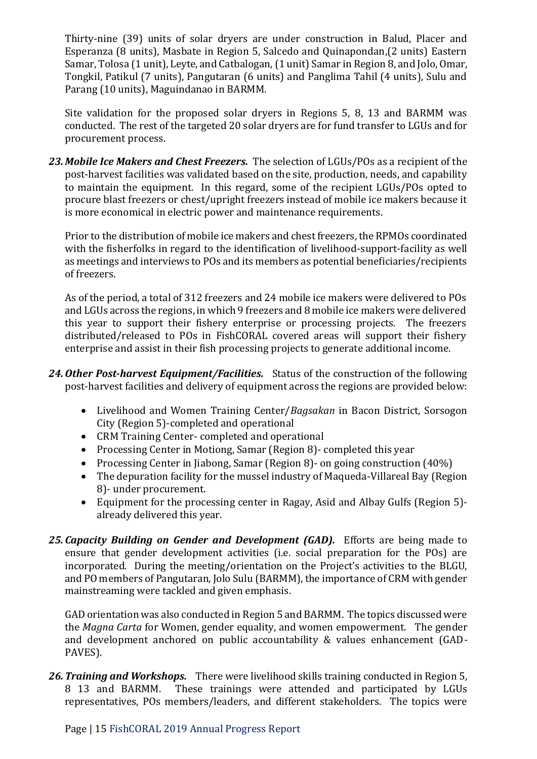Thirty-nine (39) units of solar dryers are under construction in Balud, Placer and Esperanza (8 units), Masbate in Region 5, Salcedo and Quinapondan,(2 units) Eastern Samar, Tolosa (1 unit), Leyte, and Catbalogan, (1 unit) Samar in Region 8, and Jolo, Omar, Tongkil, Patikul (7 units), Pangutaran (6 units) and Panglima Tahil (4 units), Sulu and Parang (10 units), Maguindanao in BARMM.

Site validation for the proposed solar dryers in Regions 5, 8, 13 and BARMM was conducted. The rest of the targeted 20 solar dryers are for fund transfer to LGUs and for procurement process.

*23. Mobile Ice Makers and Chest Freezers.* The selection of LGUs/POs as a recipient of the post-harvest facilities was validated based on the site, production, needs, and capability to maintain the equipment. In this regard, some of the recipient LGUs/POs opted to procure blast freezers or chest/upright freezers instead of mobile ice makers because it is more economical in electric power and maintenance requirements.

Prior to the distribution of mobile ice makers and chest freezers, the RPMOs coordinated with the fisherfolks in regard to the identification of livelihood-support-facility as well as meetings and interviews to POs and its members as potential beneficiaries/recipients of freezers.

As of the period, a total of 312 freezers and 24 mobile ice makers were delivered to POs and LGUs across the regions, in which 9 freezers and 8 mobile ice makers were delivered this year to support their fishery enterprise or processing projects. The freezers distributed/released to POs in FishCORAL covered areas will support their fishery enterprise and assist in their fish processing projects to generate additional income.

- *24.Other Post-harvest Equipment/Facilities.* Status of the construction of the following post-harvest facilities and delivery of equipment across the regions are provided below:
	- Livelihood and Women Training Center/*Bagsakan* in Bacon District, Sorsogon City (Region 5)-completed and operational
	- CRM Training Center- completed and operational
	- Processing Center in Motiong, Samar (Region 8) completed this year
	- Processing Center in Jiabong, Samar (Region 8) on going construction (40%)
	- The depuration facility for the mussel industry of Maqueda-Villareal Bay (Region 8)- under procurement.
	- Equipment for the processing center in Ragay, Asid and Albay Gulfs (Region 5) already delivered this year.
- *25. Capacity Building on Gender and Development (GAD).* Efforts are being made to ensure that gender development activities (i.e. social preparation for the POs) are incorporated. During the meeting/orientation on the Project's activities to the BLGU, and PO members of Pangutaran, Jolo Sulu (BARMM), the importance of CRM with gender mainstreaming were tackled and given emphasis.

GAD orientation was also conducted in Region 5 and BARMM. The topics discussed were the *Magna Carta* for Women, gender equality, and women empowerment. The gender and development anchored on public accountability & values enhancement (GAD-PAVES).

*26.Training and Workshops.* There were livelihood skills training conducted in Region 5, 8 13 and BARMM. These trainings were attended and participated by LGUs representatives, POs members/leaders, and different stakeholders. The topics were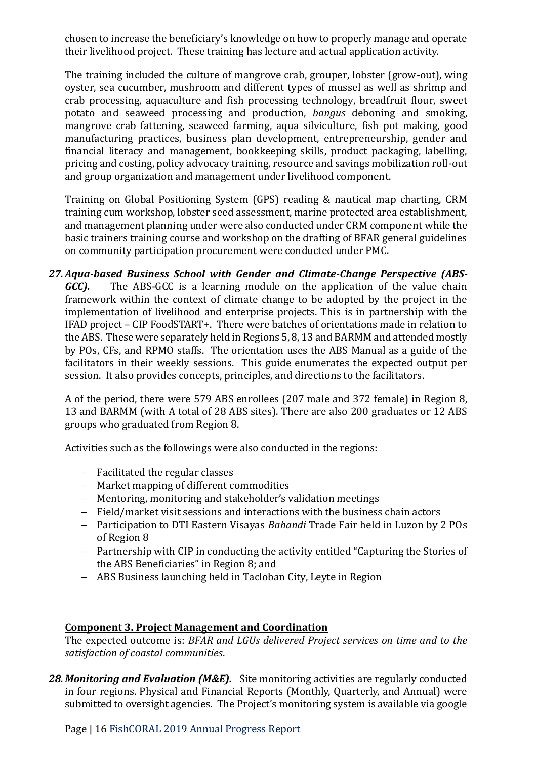chosen to increase the beneficiary's knowledge on how to properly manage and operate their livelihood project. These training has lecture and actual application activity.

The training included the culture of mangrove crab, grouper, lobster (grow-out), wing oyster, sea cucumber, mushroom and different types of mussel as well as shrimp and crab processing, aquaculture and fish processing technology, breadfruit flour, sweet potato and seaweed processing and production, *bangus* deboning and smoking, mangrove crab fattening, seaweed farming, aqua silviculture, fish pot making, good manufacturing practices, business plan development, entrepreneurship, gender and financial literacy and management, bookkeeping skills, product packaging, labelling, pricing and costing, policy advocacy training, resource and savings mobilization roll-out and group organization and management under livelihood component.

Training on Global Positioning System (GPS) reading & nautical map charting, CRM training cum workshop, lobster seed assessment, marine protected area establishment, and management planning under were also conducted under CRM component while the basic trainers training course and workshop on the drafting of BFAR general guidelines on community participation procurement were conducted under PMC.

*27.Aqua-based Business School with Gender and Climate-Change Perspective (ABS-GCC*). The ABS-GCC is a learning module on the application of the value chain framework within the context of climate change to be adopted by the project in the implementation of livelihood and enterprise projects. This is in partnership with the IFAD project – CIP FoodSTART+. There were batches of orientations made in relation to the ABS. These were separately held in Regions 5, 8, 13 and BARMM and attended mostly by POs, CFs, and RPMO staffs. The orientation uses the ABS Manual as a guide of the facilitators in their weekly sessions. This guide enumerates the expected output per session. It also provides concepts, principles, and directions to the facilitators.

A of the period, there were 579 ABS enrollees (207 male and 372 female) in Region 8, 13 and BARMM (with A total of 28 ABS sites). There are also 200 graduates or 12 ABS groups who graduated from Region 8.

Activities such as the followings were also conducted in the regions:

- − Facilitated the regular classes
- − Market mapping of different commodities
- − Mentoring, monitoring and stakeholder's validation meetings
- − Field/market visit sessions and interactions with the business chain actors
- − Participation to DTI Eastern Visayas *Bahandi* Trade Fair held in Luzon by 2 POs of Region 8
- − Partnership with CIP in conducting the activity entitled "Capturing the Stories of the ABS Beneficiaries" in Region 8; and
- − ABS Business launching held in Tacloban City, Leyte in Region

#### **Component 3. Project Management and Coordination**

The expected outcome is: *BFAR and LGUs delivered Project services on time and to the satisfaction of coastal communities*.

28. Monitoring and Evaluation (M&E). Site monitoring activities are regularly conducted in four regions. Physical and Financial Reports (Monthly, Quarterly, and Annual) were submitted to oversight agencies. The Project's monitoring system is available via google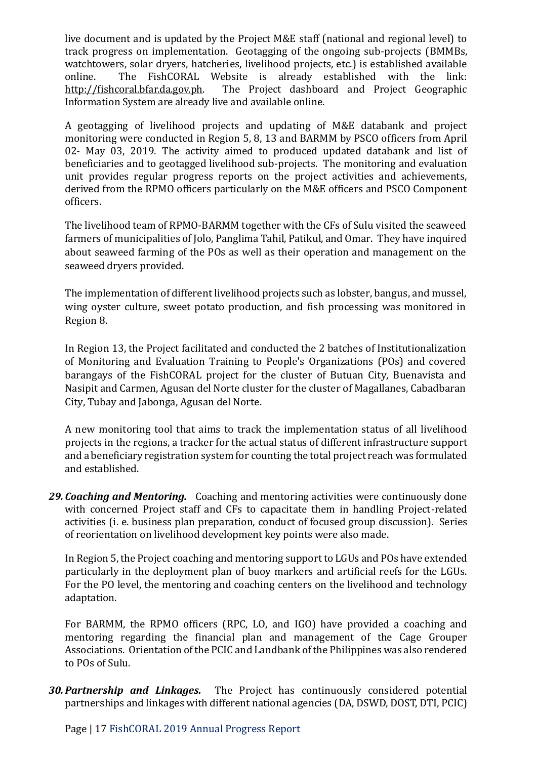live document and is updated by the Project M&E staff (national and regional level) to track progress on implementation. Geotagging of the ongoing sub-projects (BMMBs, watchtowers, solar dryers, hatcheries, livelihood projects, etc.) is established available online. The FishCORAL Website is already established with the link: [http://fishcoral.bfar.da.gov.ph.](http://fishcoral.bfar.da.gov.ph/) The Project dashboard and Project Geographic Information System are already live and available online.

A geotagging of livelihood projects and updating of M&E databank and project monitoring were conducted in Region 5, 8, 13 and BARMM by PSCO officers from April 02- May 03, 2019. The activity aimed to produced updated databank and list of beneficiaries and to geotagged livelihood sub-projects. The monitoring and evaluation unit provides regular progress reports on the project activities and achievements, derived from the RPMO officers particularly on the M&E officers and PSCO Component officers.

The livelihood team of RPMO-BARMM together with the CFs of Sulu visited the seaweed farmers of municipalities of Jolo, Panglima Tahil, Patikul, and Omar. They have inquired about seaweed farming of the POs as well as their operation and management on the seaweed dryers provided.

The implementation of different livelihood projects such as lobster, bangus, and mussel, wing oyster culture, sweet potato production, and fish processing was monitored in Region 8.

In Region 13, the Project facilitated and conducted the 2 batches of Institutionalization of Monitoring and Evaluation Training to People's Organizations (POs) and covered barangays of the FishCORAL project for the cluster of Butuan City, Buenavista and Nasipit and Carmen, Agusan del Norte cluster for the cluster of Magallanes, Cabadbaran City, Tubay and Jabonga, Agusan del Norte.

A new monitoring tool that aims to track the implementation status of all livelihood projects in the regions, a tracker for the actual status of different infrastructure support and a beneficiary registration system for counting the total project reach was formulated and established.

*29. Coaching and Mentoring.* Coaching and mentoring activities were continuously done with concerned Project staff and CFs to capacitate them in handling Project-related activities (i. e. business plan preparation, conduct of focused group discussion). Series of reorientation on livelihood development key points were also made.

In Region 5, the Project coaching and mentoring support to LGUs and POs have extended particularly in the deployment plan of buoy markers and artificial reefs for the LGUs. For the PO level, the mentoring and coaching centers on the livelihood and technology adaptation.

For BARMM, the RPMO officers (RPC, LO, and IGO) have provided a coaching and mentoring regarding the financial plan and management of the Cage Grouper Associations. Orientation of the PCIC and Landbank of the Philippines was also rendered to POs of Sulu.

*30.Partnership and Linkages.* The Project has continuously considered potential partnerships and linkages with different national agencies (DA, DSWD, DOST, DTI, PCIC)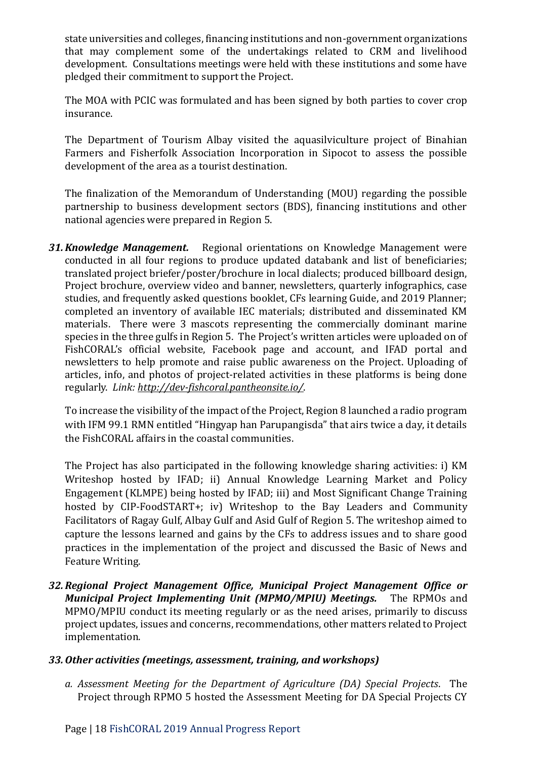state universities and colleges, financing institutions and non-government organizations that may complement some of the undertakings related to CRM and livelihood development. Consultations meetings were held with these institutions and some have pledged their commitment to support the Project.

The MOA with PCIC was formulated and has been signed by both parties to cover crop insurance.

The Department of Tourism Albay visited the aquasilviculture project of Binahian Farmers and Fisherfolk Association Incorporation in Sipocot to assess the possible development of the area as a tourist destination.

The finalization of the Memorandum of Understanding (MOU) regarding the possible partnership to business development sectors (BDS), financing institutions and other national agencies were prepared in Region 5.

*31.Knowledge Management.* Regional orientations on Knowledge Management were conducted in all four regions to produce updated databank and list of beneficiaries; translated project briefer/poster/brochure in local dialects; produced billboard design, Project brochure, overview video and banner, newsletters, quarterly infographics, case studies, and frequently asked questions booklet, CFs learning Guide, and 2019 Planner; completed an inventory of available IEC materials; distributed and disseminated KM materials. There were 3 mascots representing the commercially dominant marine species in the three gulfs in Region 5. The Project's written articles were uploaded on of FishCORAL's official website, Facebook page and account, and IFAD portal and newsletters to help promote and raise public awareness on the Project. Uploading of articles, info, and photos of project-related activities in these platforms is being done regularly. *Link:<http://dev-fishcoral.pantheonsite.io/>*.

To increase the visibility of the impact of the Project, Region 8 launched a radio program with IFM 99.1 RMN entitled "Hingyap han Parupangisda" that airs twice a day, it details the FishCORAL affairs in the coastal communities.

The Project has also participated in the following knowledge sharing activities: i) KM Writeshop hosted by IFAD; ii) Annual Knowledge Learning Market and Policy Engagement (KLMPE) being hosted by IFAD; iii) and Most Significant Change Training hosted by CIP-FoodSTART+; iv) Writeshop to the Bay Leaders and Community Facilitators of Ragay Gulf, Albay Gulf and Asid Gulf of Region 5. The writeshop aimed to capture the lessons learned and gains by the CFs to address issues and to share good practices in the implementation of the project and discussed the Basic of News and Feature Writing.

*32.Regional Project Management Office, Municipal Project Management Office or Municipal Project Implementing Unit (MPMO/MPIU) Meetings.* The RPMOs and MPMO/MPIU conduct its meeting regularly or as the need arises, primarily to discuss project updates, issues and concerns, recommendations, other matters related to Project implementation.

## *33.Other activities (meetings, assessment, training, and workshops)*

*a. Assessment Meeting for the Department of Agriculture (DA) Special Projects*. The Project through RPMO 5 hosted the Assessment Meeting for DA Special Projects CY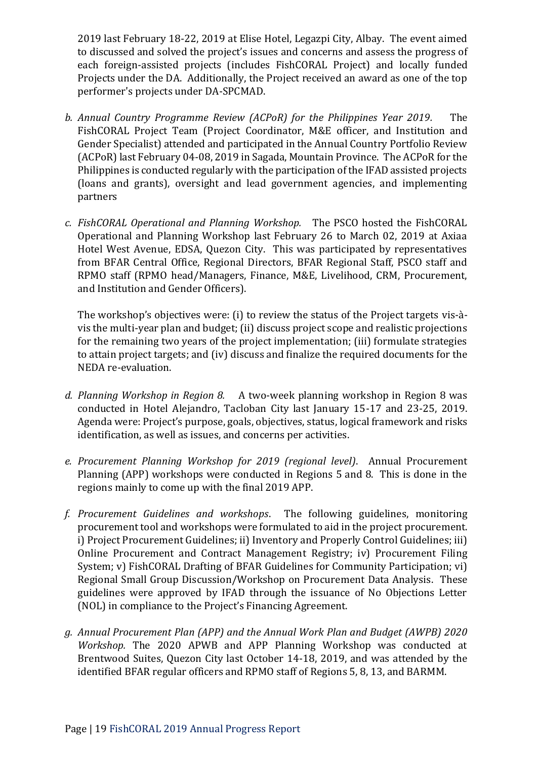2019 last February 18-22, 2019 at Elise Hotel, Legazpi City, Albay. The event aimed to discussed and solved the project's issues and concerns and assess the progress of each foreign-assisted projects (includes FishCORAL Project) and locally funded Projects under the DA. Additionally, the Project received an award as one of the top performer's projects under DA-SPCMAD.

- *b. Annual Country Programme Review (ACPoR) for the Philippines Year 2019.* The FishCORAL Project Team (Project Coordinator, M&E officer, and Institution and Gender Specialist) attended and participated in the Annual Country Portfolio Review (ACPoR) last February 04-08, 2019 in Sagada, Mountain Province. The ACPoR for the Philippines is conducted regularly with the participation of the IFAD assisted projects (loans and grants), oversight and lead government agencies, and implementing partners
- *c. FishCORAL Operational and Planning Workshop.* The PSCO hosted the FishCORAL Operational and Planning Workshop last February 26 to March 02, 2019 at Axiaa Hotel West Avenue, EDSA, Quezon City. This was participated by representatives from BFAR Central Office, Regional Directors, BFAR Regional Staff, PSCO staff and RPMO staff (RPMO head/Managers, Finance, M&E, Livelihood, CRM, Procurement, and Institution and Gender Officers).

The workshop's objectives were: (i) to review the status of the Project targets vis-àvis the multi-year plan and budget; (ii) discuss project scope and realistic projections for the remaining two years of the project implementation; (iii) formulate strategies to attain project targets; and (iv) discuss and finalize the required documents for the NEDA re-evaluation.

- *d. Planning Workshop in Region 8.* A two-week planning workshop in Region 8 was conducted in Hotel Alejandro, Tacloban City last January 15-17 and 23-25, 2019. Agenda were: Project's purpose, goals, objectives, status, logical framework and risks identification, as well as issues, and concerns per activities.
- *e. Procurement Planning Workshop for 2019 (regional level)*. Annual Procurement Planning (APP) workshops were conducted in Regions 5 and 8. This is done in the regions mainly to come up with the final 2019 APP.
- *f. Procurement Guidelines and workshops*. The following guidelines, monitoring procurement tool and workshops were formulated to aid in the project procurement. i) Project Procurement Guidelines; ii) Inventory and Properly Control Guidelines; iii) Online Procurement and Contract Management Registry; iv) Procurement Filing System; v) FishCORAL Drafting of BFAR Guidelines for Community Participation; vi) Regional Small Group Discussion/Workshop on Procurement Data Analysis. These guidelines were approved by IFAD through the issuance of No Objections Letter (NOL) in compliance to the Project's Financing Agreement.
- *g. Annual Procurement Plan (APP) and the Annual Work Plan and Budget (AWPB) 2020 Workshop.* The 2020 APWB and APP Planning Workshop was conducted at Brentwood Suites, Quezon City last October 14-18, 2019, and was attended by the identified BFAR regular officers and RPMO staff of Regions 5, 8, 13, and BARMM.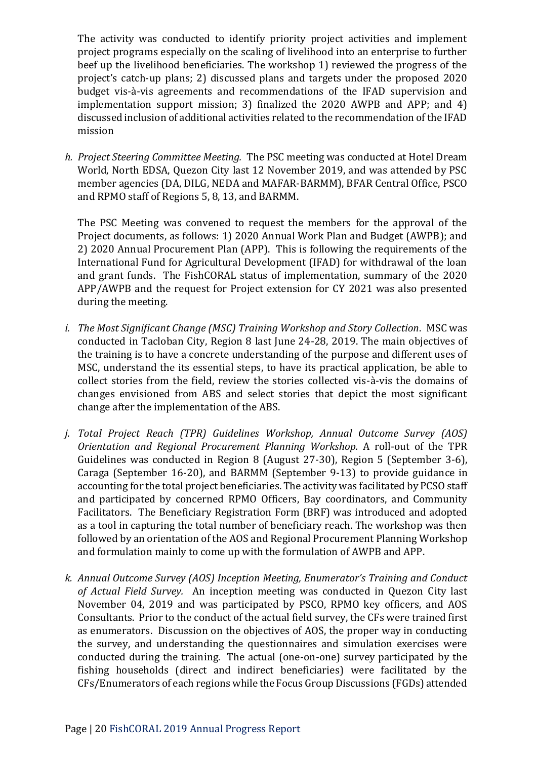The activity was conducted to identify priority project activities and implement project programs especially on the scaling of livelihood into an enterprise to further beef up the livelihood beneficiaries. The workshop 1) reviewed the progress of the project's catch-up plans; 2) discussed plans and targets under the proposed 2020 budget vis-à-vis agreements and recommendations of the IFAD supervision and implementation support mission; 3) finalized the 2020 AWPB and APP; and 4) discussed inclusion of additional activities related to the recommendation of the IFAD mission

*h. Project Steering Committee Meeting.* The PSC meeting was conducted at Hotel Dream World, North EDSA, Quezon City last 12 November 2019, and was attended by PSC member agencies (DA, DILG, NEDA and MAFAR-BARMM), BFAR Central Office, PSCO and RPMO staff of Regions 5, 8, 13, and BARMM.

The PSC Meeting was convened to request the members for the approval of the Project documents, as follows: 1) 2020 Annual Work Plan and Budget (AWPB); and 2) 2020 Annual Procurement Plan (APP). This is following the requirements of the International Fund for Agricultural Development (IFAD) for withdrawal of the loan and grant funds. The FishCORAL status of implementation, summary of the 2020 APP/AWPB and the request for Project extension for CY 2021 was also presented during the meeting.

- *i. The Most Significant Change (MSC) Training Workshop and Story Collection*. MSC was conducted in Tacloban City, Region 8 last June 24-28, 2019. The main objectives of the training is to have a concrete understanding of the purpose and different uses of MSC, understand the its essential steps, to have its practical application, be able to collect stories from the field, review the stories collected vis-à-vis the domains of changes envisioned from ABS and select stories that depict the most significant change after the implementation of the ABS.
- *j. Total Project Reach (TPR) Guidelines Workshop, Annual Outcome Survey (AOS) Orientation and Regional Procurement Planning Workshop.* A roll-out of the TPR Guidelines was conducted in Region 8 (August 27-30), Region 5 (September 3-6), Caraga (September 16-20), and BARMM (September 9-13) to provide guidance in accounting for the total project beneficiaries. The activity was facilitated by PCSO staff and participated by concerned RPMO Officers, Bay coordinators, and Community Facilitators. The Beneficiary Registration Form (BRF) was introduced and adopted as a tool in capturing the total number of beneficiary reach. The workshop was then followed by an orientation of the AOS and Regional Procurement Planning Workshop and formulation mainly to come up with the formulation of AWPB and APP.
- *k. Annual Outcome Survey (AOS) Inception Meeting, Enumerator's Training and Conduct of Actual Field Survey.* An inception meeting was conducted in Quezon City last November 04, 2019 and was participated by PSCO, RPMO key officers, and AOS Consultants.Prior to the conduct of the actual field survey, the CFs were trained first as enumerators. Discussion on the objectives of AOS, the proper way in conducting the survey, and understanding the questionnaires and simulation exercises were conducted during the training. The actual (one-on-one) survey participated by the fishing households (direct and indirect beneficiaries) were facilitated by the CFs/Enumerators of each regions while the Focus Group Discussions (FGDs) attended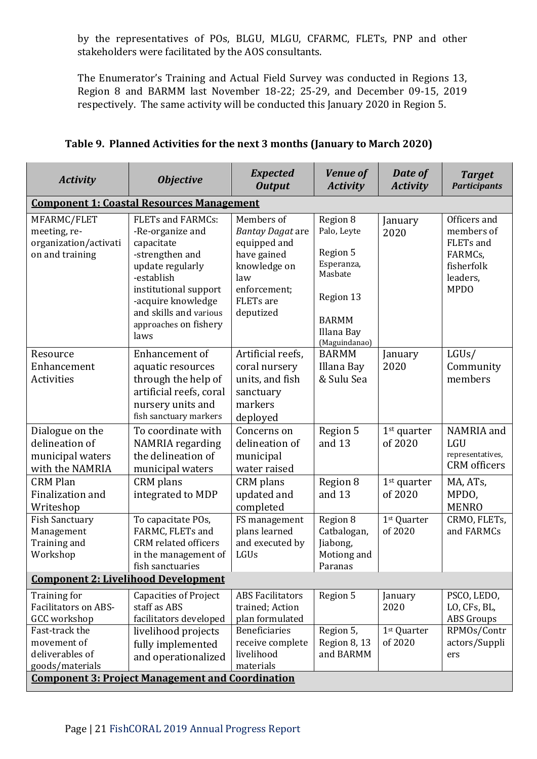by the representatives of POs, BLGU, MLGU, CFARMC, FLETs, PNP and other stakeholders were facilitated by the AOS consultants.

The Enumerator's Training and Actual Field Survey was conducted in Regions 13, Region 8 and BARMM last November 18-22; 25-29, and December 09-15, 2019 respectively. The same activity will be conducted this January 2020 in Region 5.

| <b>Activity</b>                                                                                                        | <b>Objective</b>                                                                                                                                                                                                          | <b>Expected</b><br><b>Output</b>                                                                                                             | <b>Venue of</b><br><b>Activity</b>                                                                                       | Date of<br><b>Activity</b>                            | <b>Target</b><br><b>Participants</b>                                                        |
|------------------------------------------------------------------------------------------------------------------------|---------------------------------------------------------------------------------------------------------------------------------------------------------------------------------------------------------------------------|----------------------------------------------------------------------------------------------------------------------------------------------|--------------------------------------------------------------------------------------------------------------------------|-------------------------------------------------------|---------------------------------------------------------------------------------------------|
|                                                                                                                        | <b>Component 1: Coastal Resources Management</b>                                                                                                                                                                          |                                                                                                                                              |                                                                                                                          |                                                       |                                                                                             |
| MFARMC/FLET<br>meeting, re-<br>organization/activati<br>on and training                                                | <b>FLETs and FARMCs:</b><br>-Re-organize and<br>capacitate<br>-strengthen and<br>update regularly<br>-establish<br>institutional support<br>-acquire knowledge<br>and skills and various<br>approaches on fishery<br>laws | Members of<br><b>Bantay Dagat are</b><br>equipped and<br>have gained<br>knowledge on<br>law<br>enforcement;<br><b>FLETs</b> are<br>deputized | Region 8<br>Palo, Leyte<br>Region 5<br>Esperanza,<br>Masbate<br>Region 13<br><b>BARMM</b><br>Illana Bay<br>(Maguindanao) | January<br>2020                                       | Officers and<br>members of<br>FLETs and<br>FARMCs,<br>fisherfolk<br>leaders,<br><b>MPDO</b> |
| Resource<br>Enhancement<br>Activities                                                                                  | Enhancement of<br>aquatic resources<br>through the help of<br>artificial reefs, coral<br>nursery units and<br>fish sanctuary markers                                                                                      | Artificial reefs,<br>coral nursery<br>units, and fish<br>sanctuary<br>markers<br>deployed                                                    | <b>BARMM</b><br>Illana Bay<br>& Sulu Sea                                                                                 | January<br>2020                                       | LGUs/<br>Community<br>members                                                               |
| Dialogue on the<br>delineation of<br>municipal waters<br>with the NAMRIA                                               | To coordinate with<br>NAMRIA regarding<br>the delineation of<br>municipal waters                                                                                                                                          | Concerns on<br>delineation of<br>municipal<br>water raised                                                                                   | Region 5<br>and 13                                                                                                       | $1st$ quarter<br>of 2020                              | NAMRIA and<br><b>LGU</b><br>representatives,<br><b>CRM</b> officers                         |
| <b>CRM Plan</b><br>Finalization and<br>Writeshop                                                                       | CRM plans<br>integrated to MDP                                                                                                                                                                                            | CRM plans<br>updated and<br>completed                                                                                                        | Region 8<br>and 13                                                                                                       | $1st$ quarter<br>of 2020                              | MA, ATs,<br>MPDO,<br><b>MENRO</b>                                                           |
| <b>Fish Sanctuary</b><br>Management<br>Training and<br>Workshop                                                        | To capacitate POs,<br>FARMC, FLETs and<br><b>CRM</b> related officers<br>in the management of<br>fish sanctuaries                                                                                                         | FS management<br>plans learned<br>and executed by<br>LGUs                                                                                    | Region 8<br>Catbalogan,<br>Jiabong,<br>Motiong and<br>Paranas                                                            | 1st Quarter<br>of 2020                                | CRMO, FLETs,<br>and FARMCs                                                                  |
| <b>Component 2: Livelihood Development</b>                                                                             |                                                                                                                                                                                                                           |                                                                                                                                              |                                                                                                                          |                                                       |                                                                                             |
| Training for<br><b>Facilitators on ABS-</b><br><b>GCC</b> workshop<br>Fast-track the<br>movement of<br>deliverables of | <b>Capacities of Project</b><br>staff as ABS<br>facilitators developed<br>livelihood projects<br>fully implemented<br>and operationalized                                                                                 | <b>ABS Facilitators</b><br>trained; Action<br>plan formulated<br><b>Beneficiaries</b><br>receive complete<br>livelihood                      | Region 5<br>Region 5,<br>Region 8, 13<br>and BARMM                                                                       | January<br>2020<br>1 <sup>st</sup> Quarter<br>of 2020 | PSCO, LEDO,<br>LO, CFs, BL,<br><b>ABS</b> Groups<br>RPMOs/Contr<br>actors/Suppli<br>ers     |
| goods/materials                                                                                                        | <b>Component 3: Project Management and Coordination</b>                                                                                                                                                                   | materials                                                                                                                                    |                                                                                                                          |                                                       |                                                                                             |

| Table 9. Planned Activities for the next 3 months (January to March 2020) |  |
|---------------------------------------------------------------------------|--|
|                                                                           |  |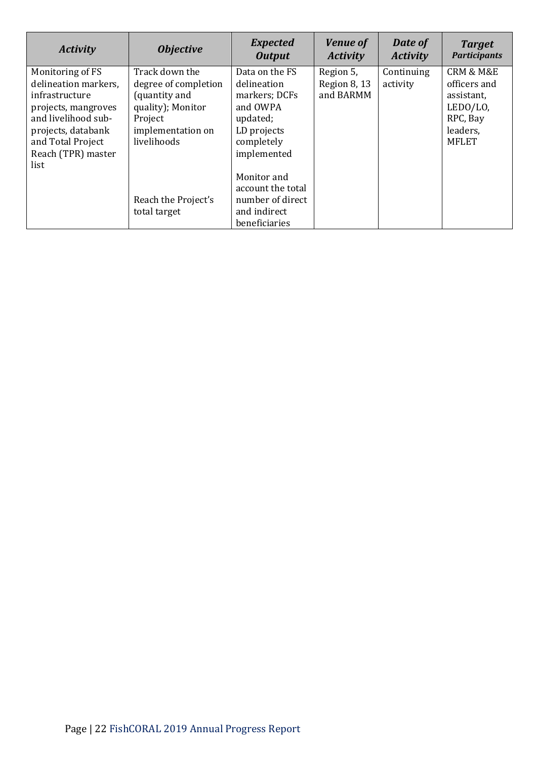| <b>Activity</b>                                 | <b>Objective</b>                            | <b>Expected</b><br><b>Output</b>                  | <b>Venue of</b><br><b>Activity</b> | Date of<br><b>Activity</b> | <b>Target</b><br><b>Participants</b>     |
|-------------------------------------------------|---------------------------------------------|---------------------------------------------------|------------------------------------|----------------------------|------------------------------------------|
| Monitoring of FS<br>delineation markers.        | Track down the<br>degree of completion      | Data on the FS<br>delineation                     | Region 5,<br>Region 8, 13          | Continuing<br>activity     | <b>CRM &amp; M&amp;E</b><br>officers and |
| infrastructure<br>projects, mangroves           | (quantity and<br>quality); Monitor          | markers; DCFs<br>and OWPA                         | and BARMM                          |                            | assistant,<br>LEDO/LO,                   |
| and livelihood sub-<br>projects, databank       | Project<br>implementation on<br>livelihoods | updated;<br>LD projects                           |                                    |                            | RPC, Bay<br>leaders,<br><b>MFLET</b>     |
| and Total Project<br>Reach (TPR) master<br>list |                                             | completely<br>implemented                         |                                    |                            |                                          |
|                                                 |                                             | Monitor and<br>account the total                  |                                    |                            |                                          |
|                                                 | Reach the Project's<br>total target         | number of direct<br>and indirect<br>beneficiaries |                                    |                            |                                          |